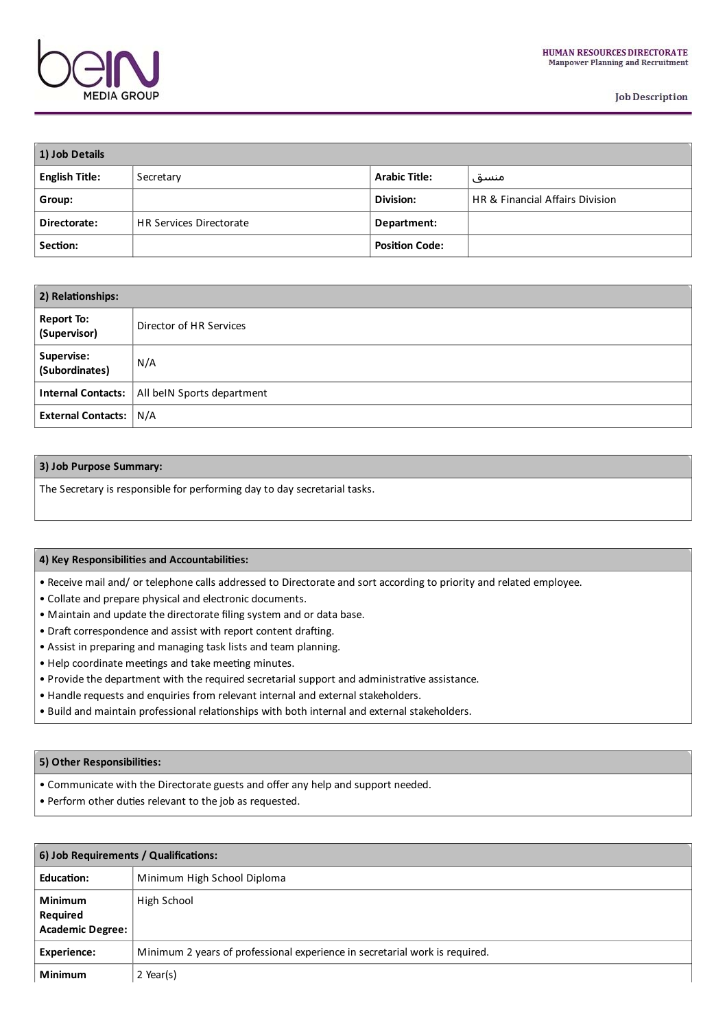

**Job Description** 

| 1) Job Details |                                |                       |                                            |  |
|----------------|--------------------------------|-----------------------|--------------------------------------------|--|
| English Title: | Secretary                      | <b>Arabic Title:</b>  | منسق                                       |  |
| Group:         |                                | Division:             | <b>HR &amp; Financial Affairs Division</b> |  |
| Directorate:   | <b>HR Services Directorate</b> | Department:           |                                            |  |
| Section:       |                                | <b>Position Code:</b> |                                            |  |

| 2) Relationships:                 |                                                        |  |
|-----------------------------------|--------------------------------------------------------|--|
| <b>Report To:</b><br>(Supervisor) | Director of HR Services                                |  |
| Supervise:<br>(Subordinates)      | N/A                                                    |  |
|                                   | <b>Internal Contacts:</b>   All beIN Sports department |  |
| <b>External Contacts: N/A</b>     |                                                        |  |

## **3) Job Purpose Summary:**

The Secretary is responsible for performing day to day secretarial tasks.

### **4) Key Responsibilies and Accountabilies:**

- Receive mail and/ or telephone calls addressed to Directorate and sort accordingto priority and related employee.
- Collate and prepare physical and electronic documents.
- Maintain and update the directorate filing system and or data base.
- Draft correspondence and assist with report content drafting.
- Assist in preparing and managing task lists and team planning.
- Help coordinate meetings and take meeting minutes.
- Provide the department with the required secretarial support and administrative assistance.
- Handle requests and enquiries from relevant internal and external stakeholders.
- Build and maintain professional relationships with both internal and external stakeholders.

#### **5) Other Responsibilies:**

- Communicate with the Directorate guests and offerany help and support needed.
- Perform other duties relevant to the job as requested.

| 6) Job Requirements / Qualifications:                        |                                                                             |  |  |
|--------------------------------------------------------------|-----------------------------------------------------------------------------|--|--|
| <b>Education:</b>                                            | Minimum High School Diploma                                                 |  |  |
| <b>Minimum</b><br><b>Required</b><br><b>Academic Degree:</b> | High School                                                                 |  |  |
| <b>Experience:</b>                                           | Minimum 2 years of professional experience in secretarial work is required. |  |  |
| <b>Minimum</b>                                               | $2$ Year(s)                                                                 |  |  |